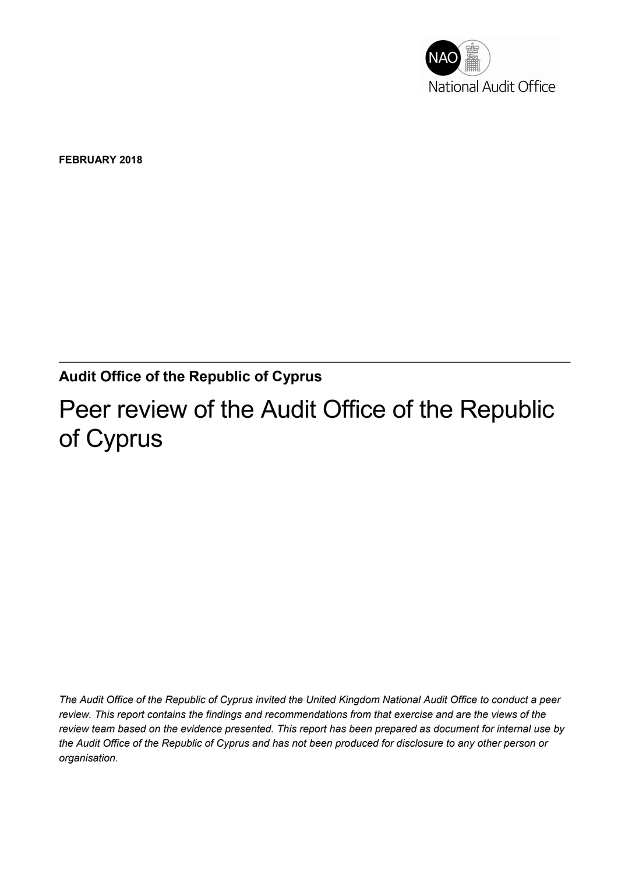

FEBRUARY 2018

#### Audit Office of the Republic of Cyprus

# Peer review of the Audit Office of the Republic of Cyprus

The Audit Office of the Republic of Cyprus invited the United Kingdom National Audit Office to conduct a peer review. This report contains the findings and recommendations from that exercise and are the views of the review team based on the evidence presented. This report has been prepared as document for internal use by the Audit Office of the Republic of Cyprus and has not been produced for disclosure to any other person or organisation.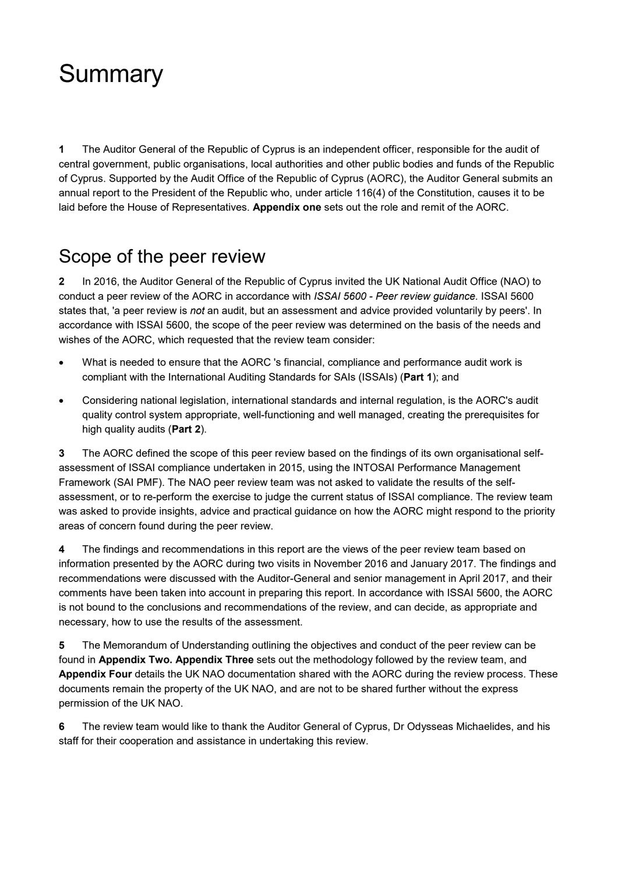# **Summary**

1 The Auditor General of the Republic of Cyprus is an independent officer, responsible for the audit of central government, public organisations, local authorities and other public bodies and funds of the Republic of Cyprus. Supported by the Audit Office of the Republic of Cyprus (AORC), the Auditor General submits an annual report to the President of the Republic who, under article 116(4) of the Constitution, causes it to be laid before the House of Representatives. Appendix one sets out the role and remit of the AORC.

#### Scope of the peer review

2 In 2016, the Auditor General of the Republic of Cyprus invited the UK National Audit Office (NAO) to conduct a peer review of the AORC in accordance with ISSAI 5600 - Peer review guidance. ISSAI 5600 states that, 'a peer review is not an audit, but an assessment and advice provided voluntarily by peers'. In accordance with ISSAI 5600, the scope of the peer review was determined on the basis of the needs and wishes of the AORC, which requested that the review team consider:

- What is needed to ensure that the AORC 's financial, compliance and performance audit work is compliant with the International Auditing Standards for SAIs (ISSAIs) (Part 1); and
- Considering national legislation, international standards and internal regulation, is the AORC's audit quality control system appropriate, well-functioning and well managed, creating the prerequisites for high quality audits (Part 2).

3 The AORC defined the scope of this peer review based on the findings of its own organisational selfassessment of ISSAI compliance undertaken in 2015, using the INTOSAI Performance Management Framework (SAI PMF). The NAO peer review team was not asked to validate the results of the selfassessment, or to re-perform the exercise to judge the current status of ISSAI compliance. The review team was asked to provide insights, advice and practical guidance on how the AORC might respond to the priority areas of concern found during the peer review.

4 The findings and recommendations in this report are the views of the peer review team based on information presented by the AORC during two visits in November 2016 and January 2017. The findings and recommendations were discussed with the Auditor-General and senior management in April 2017, and their comments have been taken into account in preparing this report. In accordance with ISSAI 5600, the AORC is not bound to the conclusions and recommendations of the review, and can decide, as appropriate and necessary, how to use the results of the assessment.

5 The Memorandum of Understanding outlining the objectives and conduct of the peer review can be found in Appendix Two. Appendix Three sets out the methodology followed by the review team, and Appendix Four details the UK NAO documentation shared with the AORC during the review process. These documents remain the property of the UK NAO, and are not to be shared further without the express permission of the UK NAO.

6 The review team would like to thank the Auditor General of Cyprus, Dr Odysseas Michaelides, and his staff for their cooperation and assistance in undertaking this review.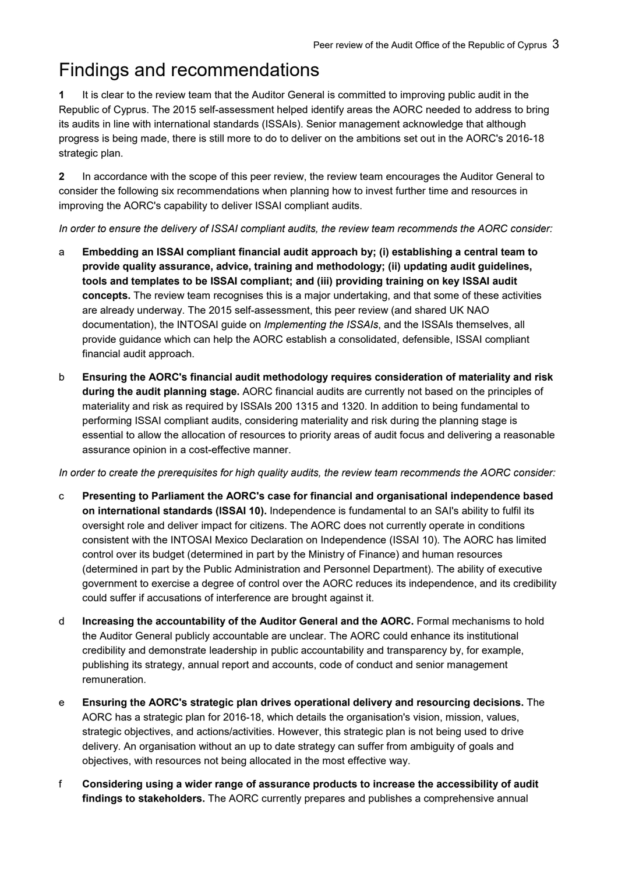### Findings and recommendations

1 It is clear to the review team that the Auditor General is committed to improving public audit in the Republic of Cyprus. The 2015 self-assessment helped identify areas the AORC needed to address to bring its audits in line with international standards (ISSAIs). Senior management acknowledge that although progress is being made, there is still more to do to deliver on the ambitions set out in the AORC's 2016-18 strategic plan.

2 In accordance with the scope of this peer review, the review team encourages the Auditor General to consider the following six recommendations when planning how to invest further time and resources in improving the AORC's capability to deliver ISSAI compliant audits.

In order to ensure the delivery of ISSAI compliant audits, the review team recommends the AORC consider:

- a Embedding an ISSAI compliant financial audit approach by; (i) establishing a central team to provide quality assurance, advice, training and methodology; (ii) updating audit guidelines, tools and templates to be ISSAI compliant; and (iii) providing training on key ISSAI audit concepts. The review team recognises this is a major undertaking, and that some of these activities are already underway. The 2015 self-assessment, this peer review (and shared UK NAO documentation), the INTOSAI quide on *Implementing the ISSAIs*, and the ISSAIs themselves, all provide guidance which can help the AORC establish a consolidated, defensible, ISSAI compliant financial audit approach.
- b Ensuring the AORC's financial audit methodology requires consideration of materiality and risk during the audit planning stage. AORC financial audits are currently not based on the principles of materiality and risk as required by ISSAIs 200 1315 and 1320. In addition to being fundamental to performing ISSAI compliant audits, considering materiality and risk during the planning stage is essential to allow the allocation of resources to priority areas of audit focus and delivering a reasonable assurance opinion in a cost-effective manner.

In order to create the prerequisites for high quality audits, the review team recommends the AORC consider:

- c Presenting to Parliament the AORC's case for financial and organisational independence based on international standards (ISSAI 10). Independence is fundamental to an SAI's ability to fulfil its oversight role and deliver impact for citizens. The AORC does not currently operate in conditions consistent with the INTOSAI Mexico Declaration on Independence (ISSAI 10). The AORC has limited control over its budget (determined in part by the Ministry of Finance) and human resources (determined in part by the Public Administration and Personnel Department). The ability of executive government to exercise a degree of control over the AORC reduces its independence, and its credibility could suffer if accusations of interference are brought against it.
- d Increasing the accountability of the Auditor General and the AORC. Formal mechanisms to hold the Auditor General publicly accountable are unclear. The AORC could enhance its institutional credibility and demonstrate leadership in public accountability and transparency by, for example, publishing its strategy, annual report and accounts, code of conduct and senior management remuneration.
- e Ensuring the AORC's strategic plan drives operational delivery and resourcing decisions. The AORC has a strategic plan for 2016-18, which details the organisation's vision, mission, values, strategic objectives, and actions/activities. However, this strategic plan is not being used to drive delivery. An organisation without an up to date strategy can suffer from ambiguity of goals and objectives, with resources not being allocated in the most effective way.
- f Considering using a wider range of assurance products to increase the accessibility of audit findings to stakeholders. The AORC currently prepares and publishes a comprehensive annual